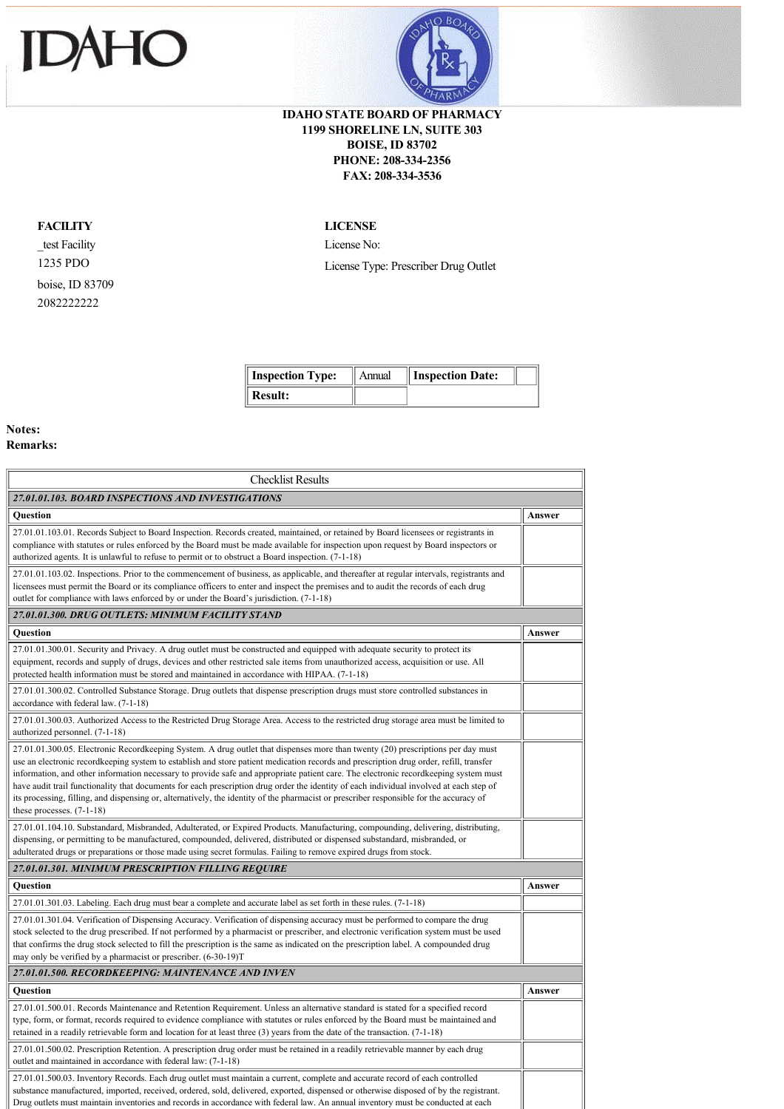



## **IDAHO STATE BOARD OF PHARMACY 1199 SHORELINE LN, SUITE 303 BOISE, ID 83702 PHONE: 208-334-2356 FAX: 208-334-3536**

## **FACILITY**

\_test Facility 1235 PDO boise, ID 83709 2082222222

## **LICENSE**

License No: License Type: Prescriber Drug Outlet

| <b>Inspection Type:</b> | Annual | <b>Inspection Date:</b> |  |
|-------------------------|--------|-------------------------|--|
| $\parallel$ Result:     |        |                         |  |

ä

## **Notes:**

**Remarks:** 

| <b>Checklist Results</b>                                                                                                                                                                                                                                                                                                                                                                                                                                                                                                                                                                                                                                                                                                              |        |
|---------------------------------------------------------------------------------------------------------------------------------------------------------------------------------------------------------------------------------------------------------------------------------------------------------------------------------------------------------------------------------------------------------------------------------------------------------------------------------------------------------------------------------------------------------------------------------------------------------------------------------------------------------------------------------------------------------------------------------------|--------|
| 27.01.01.103. BOARD INSPECTIONS AND INVESTIGATIONS                                                                                                                                                                                                                                                                                                                                                                                                                                                                                                                                                                                                                                                                                    |        |
| <b>Ouestion</b>                                                                                                                                                                                                                                                                                                                                                                                                                                                                                                                                                                                                                                                                                                                       | Answer |
| 27.01.01.103.01. Records Subject to Board Inspection. Records created, maintained, or retained by Board licensees or registrants in<br>compliance with statutes or rules enforced by the Board must be made available for inspection upon request by Board inspectors or<br>authorized agents. It is unlawful to refuse to permit or to obstruct a Board inspection. (7-1-18)                                                                                                                                                                                                                                                                                                                                                         |        |
| 27.01.01.103.02. Inspections. Prior to the commencement of business, as applicable, and thereafter at regular intervals, registrants and<br>licensees must permit the Board or its compliance officers to enter and inspect the premises and to audit the records of each drug<br>outlet for compliance with laws enforced by or under the Board's jurisdiction. (7-1-18)                                                                                                                                                                                                                                                                                                                                                             |        |
| 27.01.01.300. DRUG OUTLETS: MINIMUM FACILITY STAND                                                                                                                                                                                                                                                                                                                                                                                                                                                                                                                                                                                                                                                                                    |        |
| Question                                                                                                                                                                                                                                                                                                                                                                                                                                                                                                                                                                                                                                                                                                                              | Answer |
| 27.01.01.300.01. Security and Privacy. A drug outlet must be constructed and equipped with adequate security to protect its<br>equipment, records and supply of drugs, devices and other restricted sale items from unauthorized access, acquisition or use. All<br>protected health information must be stored and maintained in accordance with HIPAA. (7-1-18)                                                                                                                                                                                                                                                                                                                                                                     |        |
| 27.01.01.300.02. Controlled Substance Storage. Drug outlets that dispense prescription drugs must store controlled substances in<br>accordance with federal law. (7-1-18)                                                                                                                                                                                                                                                                                                                                                                                                                                                                                                                                                             |        |
| 27.01.01.300.03. Authorized Access to the Restricted Drug Storage Area. Access to the restricted drug storage area must be limited to<br>authorized personnel. (7-1-18)                                                                                                                                                                                                                                                                                                                                                                                                                                                                                                                                                               |        |
| 27.01.01.300.05. Electronic Recordkeeping System. A drug outlet that dispenses more than twenty (20) prescriptions per day must<br>use an electronic recordkeeping system to establish and store patient medication records and prescription drug order, refill, transfer<br>information, and other information necessary to provide safe and appropriate patient care. The electronic recordkeeping system must<br>have audit trail functionality that documents for each prescription drug order the identity of each individual involved at each step of<br>its processing, filling, and dispensing or, alternatively, the identity of the pharmacist or prescriber responsible for the accuracy of<br>these processes. $(7-1-18)$ |        |
| 27.01.01.104.10. Substandard, Misbranded, Adulterated, or Expired Products. Manufacturing, compounding, delivering, distributing,<br>dispensing, or permitting to be manufactured, compounded, delivered, distributed or dispensed substandard, misbranded, or<br>adulterated drugs or preparations or those made using secret formulas. Failing to remove expired drugs from stock.                                                                                                                                                                                                                                                                                                                                                  |        |
| 27.01.01.301. MINIMUM PRESCRIPTION FILLING REQUIRE                                                                                                                                                                                                                                                                                                                                                                                                                                                                                                                                                                                                                                                                                    |        |
| Question                                                                                                                                                                                                                                                                                                                                                                                                                                                                                                                                                                                                                                                                                                                              | Answer |
| 27.01.01.301.03. Labeling. Each drug must bear a complete and accurate label as set forth in these rules. (7-1-18)                                                                                                                                                                                                                                                                                                                                                                                                                                                                                                                                                                                                                    |        |
| 27.01.01.301.04. Verification of Dispensing Accuracy. Verification of dispensing accuracy must be performed to compare the drug<br>stock selected to the drug prescribed. If not performed by a pharmacist or prescriber, and electronic verification system must be used<br>that confirms the drug stock selected to fill the prescription is the same as indicated on the prescription label. A compounded drug<br>may only be verified by a pharmacist or prescriber. (6-30-19)T                                                                                                                                                                                                                                                   |        |
| 27.01.01.500. RECORDKEEPING: MAINTENANCE AND INVEN                                                                                                                                                                                                                                                                                                                                                                                                                                                                                                                                                                                                                                                                                    |        |
| <b>Ouestion</b>                                                                                                                                                                                                                                                                                                                                                                                                                                                                                                                                                                                                                                                                                                                       | Answer |
| 27.01.01.500.01. Records Maintenance and Retention Requirement. Unless an alternative standard is stated for a specified record<br>type, form, or format, records required to evidence compliance with statutes or rules enforced by the Board must be maintained and<br>retained in a readily retrievable form and location for at least three $(3)$ years from the date of the transaction. $(7-1-18)$                                                                                                                                                                                                                                                                                                                              |        |
| 27.01.01.500.02. Prescription Retention. A prescription drug order must be retained in a readily retrievable manner by each drug<br>outlet and maintained in accordance with federal law: (7-1-18)                                                                                                                                                                                                                                                                                                                                                                                                                                                                                                                                    |        |
| 27.01.01.500.03. Inventory Records. Each drug outlet must maintain a current, complete and accurate record of each controlled<br>substance manufactured, imported, received, ordered, sold, delivered, exported, dispensed or otherwise disposed of by the registrant.<br>Drug outlets must maintain inventories and records in accordance with federal law. An annual inventory must be conducted at each                                                                                                                                                                                                                                                                                                                            |        |